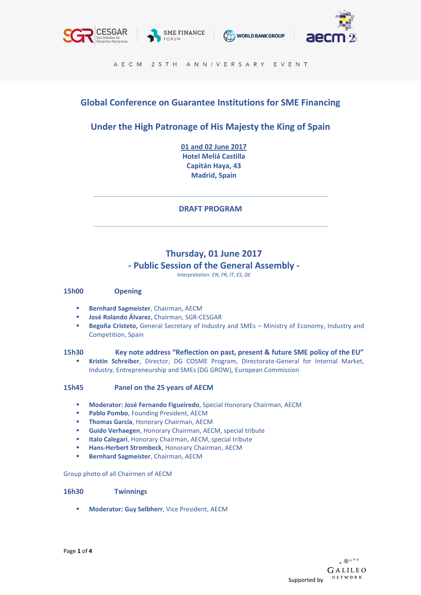







#### AECM 25 TH ANNIVERSARY EVENT

## **Global Conference on Guarantee Institutions for SME Financing**

## **Under the High Patronage of His Majesty the King of Spain**

**01 and 02 June 2017 Hotel Meliá Castilla Capitán Haya, 43 Madrid, Spain**

**DRAFT PROGRAM**

# **Thursday, 01 June 2017 - Public Session of the General Assembly -**

*Interpretation: EN, FR, IT, ES, DE*

#### **15h00 Opening**

- **Bernhard Sagmeister**, Chairman, AECM
- **José Rolando Álvarez**, Chairman, SGR-CESGAR
- Begoña Cristeto, General Secretary of Industry and SMEs Ministry of Economy, Industry and Competition, Spain

#### **15h30 Key note address "Reflection on past, present & future SME policy of the EU"**

▪ **Kristin Schreiber**, Director, DG COSME Program, Directorate-General for Internal Market, Industry, Entrepreneurship and SMEs (DG GROW), European Commission

#### **15h45 Panel on the 25 years of AECM**

- **Moderator: José Fernando Figueiredo**, Special Honorary Chairman, AECM
- **Pablo Pombo**, Founding President, AECM
- **Thomas García**, Honorary Chairman, AECM
- **Guido Verhaegen, Honorary Chairman, AECM, special tribute**
- **Italo Calegari**, Honorary Chairman, AECM, special tribute
- Hans-Herbert Strombeck, Honorary Chairman, AECM
- **Bernhard Sagmeister**, Chairman, AECM

#### Group photo of all Chairmen of AECM

#### **16h30 Twinnings**

▪ **Moderator: Guy Selbherr**, Vice President, AECM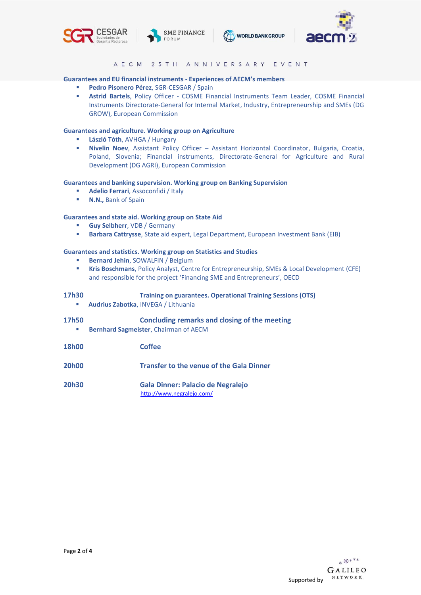







AECM 25TH ANNIVERSARY EVENT

#### **Guarantees and EU financial instruments - Experiences of AECM's members**

- Pedro Pisonero Pérez, SGR-CESGAR / Spain
- **EXECTE: Astrid Bartels**, Policy Officer COSME Financial Instruments Team Leader, COSME Financial Instruments Directorate-General for Internal Market, Industry, Entrepreneurship and SMEs (DG GROW), European Commission

#### **Guarantees and agriculture. Working group on Agriculture**

- **László Tóth**, AVHGA / Hungary
- **Nivelin Noev**, Assistant Policy Officer Assistant Horizontal Coordinator, Bulgaria, Croatia, Poland, Slovenia; Financial instruments, Directorate-General for Agriculture and Rural Development (DG AGRI), European Commission

#### **Guarantees and banking supervision. Working group on Banking Supervision**

- **Adelio Ferrari**, Assoconfidi / Italy
- **N.N.,** Bank of Spain

#### **Guarantees and state aid. Working group on State Aid**

- **Guy Selbherr**, VDB / Germany
- Barbara Cattrysse, State aid expert, Legal Department, European Investment Bank (EIB)

#### **Guarantees and statistics. Working group on Statistics and Studies**

- **Bernard Jehin**, SOWALFIN / Belgium
- **Kris Boschmans**, Policy Analyst, Centre for Entrepreneurship, SMEs & Local Development (CFE) and responsible for the project 'Financing SME and Entrepreneurs', OECD

| 17h30<br>×        | <b>Training on guarantees. Operational Training Sessions (OTS)</b><br>Audrius Zabotka, INVEGA / Lithuania |
|-------------------|-----------------------------------------------------------------------------------------------------------|
| <b>17h50</b><br>× | Concluding remarks and closing of the meeting<br><b>Bernhard Sagmeister, Chairman of AECM</b>             |
| <b>18h00</b>      | <b>Coffee</b>                                                                                             |
| <b>20h00</b>      | <b>Transfer to the venue of the Gala Dinner</b>                                                           |
| <b>20h30</b>      | Gala Dinner: Palacio de Negralejo                                                                         |

<http://www.negralejo.com/>

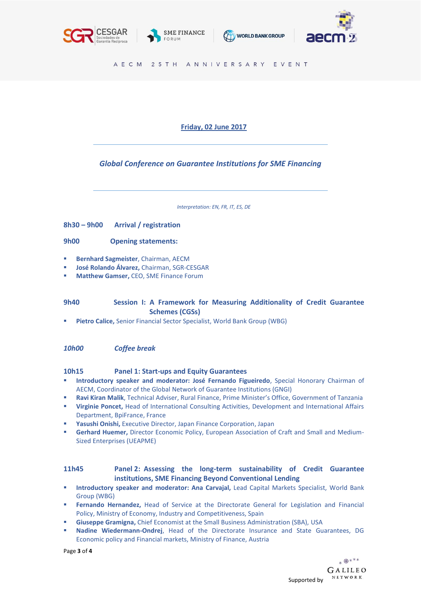







AECM 25TH ANNIVERSARY EVENT

## **Friday, 02 June 2017**

## *Global Conference on Guarantee Institutions for SME Financing*

*Interpretation: EN, FR, IT, ES, DE*

**8h30 – 9h00 Arrival / registration** 

#### **9h00 Opening statements:**

- **Bernhard Sagmeister**, Chairman, AECM
- **José Rolando Álvarez,** Chairman, SGR-CESGAR
- **Matthew Gamser, CEO, SME Finance Forum**

### **9h40 Session I: A Framework for Measuring Additionality of Credit Guarantee c Schemes (CGSs)**

Pietro Calice, Senior Financial Sector Specialist, World Bank Group (WBG)

#### *10h00 Coffee break*

#### **10h15 Panel 1: Start-ups and Equity Guarantees**

- **Introductory speaker and moderator: José Fernando Figueiredo**, Special Honorary Chairman of AECM, Coordinator of the Global Network of Guarantee Institutions (GNGI)
- Ravi Kiran Malik, Technical Adviser, Rural Finance, Prime Minister's Office, Government of Tanzania
- **Virginie Poncet,** Head of International Consulting Activities, Development and International Affairs Department, BpiFrance, France
- Yasushi Onishi, Executive Director, Japan Finance Corporation, Japan
- **Gerhard Huemer,** Director Economic Policy, European Association of Craft and Small and Medium-Sized Enterprises (UEAPME)

#### **11h45 Panel 2: Assessing the long-term sustainability of Credit Guarantee institutions, SME Financing Beyond Conventional Lending**

- **Introductory speaker and moderator: Ana Carvajal,** Lead Capital Markets Specialist, World Bank Group (WBG)
- Fernando Hernandez, Head of Service at the Directorate General for Legislation and Financial Policy, Ministry of Economy, Industry and Competitiveness, Spain
- **Giuseppe Gramigna, Chief Economist at the Small Business Administration (SBA), USA**
- **Nadine Wiedermann-Ondrej**, Head of the Directorate Insurance and State Guarantees, DG Economic policy and Financial markets, Ministry of Finance, Austria

Page **3** of **4**